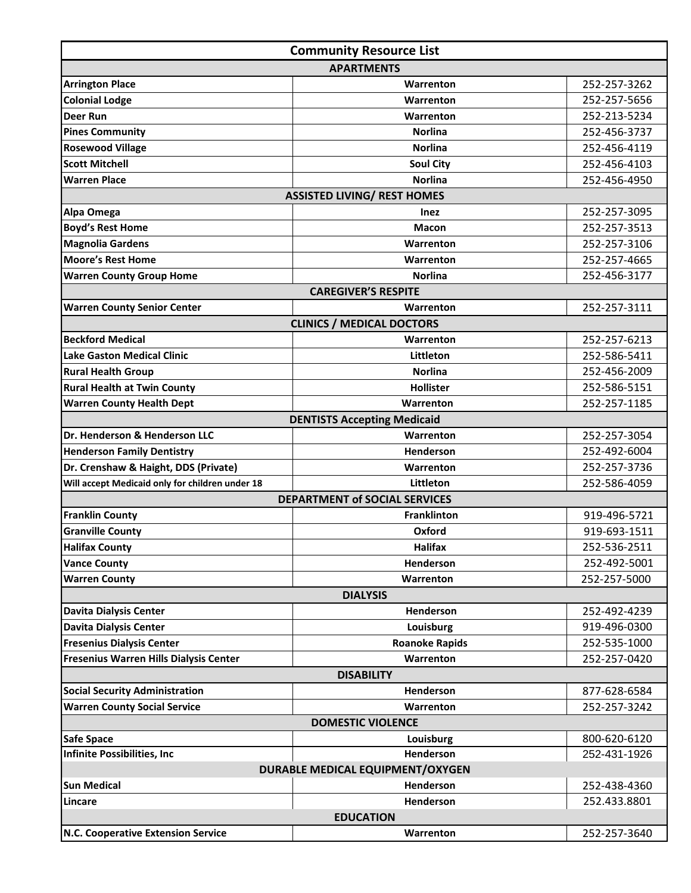| <b>Community Resource List</b>                  |                                      |              |  |  |
|-------------------------------------------------|--------------------------------------|--------------|--|--|
| <b>APARTMENTS</b>                               |                                      |              |  |  |
| <b>Arrington Place</b>                          | Warrenton                            | 252-257-3262 |  |  |
| <b>Colonial Lodge</b>                           | Warrenton                            | 252-257-5656 |  |  |
| <b>Deer Run</b>                                 | Warrenton                            | 252-213-5234 |  |  |
| <b>Pines Community</b>                          | <b>Norlina</b>                       | 252-456-3737 |  |  |
| <b>Rosewood Village</b>                         | <b>Norlina</b>                       | 252-456-4119 |  |  |
| <b>Scott Mitchell</b>                           | <b>Soul City</b>                     | 252-456-4103 |  |  |
| <b>Warren Place</b>                             | <b>Norlina</b>                       | 252-456-4950 |  |  |
|                                                 | <b>ASSISTED LIVING/ REST HOMES</b>   |              |  |  |
| Alpa Omega                                      | <b>Inez</b>                          | 252-257-3095 |  |  |
| <b>Boyd's Rest Home</b>                         | <b>Macon</b>                         | 252-257-3513 |  |  |
| <b>Magnolia Gardens</b>                         | Warrenton                            | 252-257-3106 |  |  |
| <b>Moore's Rest Home</b>                        | Warrenton                            | 252-257-4665 |  |  |
| <b>Warren County Group Home</b>                 | <b>Norlina</b>                       | 252-456-3177 |  |  |
|                                                 | <b>CAREGIVER'S RESPITE</b>           |              |  |  |
| <b>Warren County Senior Center</b>              | Warrenton                            | 252-257-3111 |  |  |
|                                                 | <b>CLINICS / MEDICAL DOCTORS</b>     |              |  |  |
| <b>Beckford Medical</b>                         | Warrenton                            | 252-257-6213 |  |  |
| <b>Lake Gaston Medical Clinic</b>               | Littleton                            | 252-586-5411 |  |  |
| <b>Rural Health Group</b>                       | Norlina                              | 252-456-2009 |  |  |
| <b>Rural Health at Twin County</b>              | Hollister                            | 252-586-5151 |  |  |
| <b>Warren County Health Dept</b>                | Warrenton                            | 252-257-1185 |  |  |
|                                                 | <b>DENTISTS Accepting Medicaid</b>   |              |  |  |
| Dr. Henderson & Henderson LLC                   | Warrenton                            | 252-257-3054 |  |  |
| <b>Henderson Family Dentistry</b>               | Henderson                            | 252-492-6004 |  |  |
| Dr. Crenshaw & Haight, DDS (Private)            | Warrenton                            | 252-257-3736 |  |  |
| Will accept Medicaid only for children under 18 | Littleton                            | 252-586-4059 |  |  |
|                                                 | <b>DEPARTMENT of SOCIAL SERVICES</b> |              |  |  |
| <b>Franklin County</b>                          | Franklinton                          | 919-496-5721 |  |  |
| <b>Granville County</b>                         | Oxford                               | 919-693-1511 |  |  |
| <b>Halifax County</b>                           | <b>Halifax</b>                       | 252-536-2511 |  |  |
| <b>Vance County</b>                             | Henderson                            | 252-492-5001 |  |  |
| <b>Warren County</b>                            | Warrenton                            | 252-257-5000 |  |  |
|                                                 | <b>DIALYSIS</b>                      |              |  |  |
| <b>Davita Dialysis Center</b>                   | <b>Henderson</b>                     | 252-492-4239 |  |  |
| <b>Davita Dialysis Center</b>                   | Louisburg                            | 919-496-0300 |  |  |
| <b>Fresenius Dialysis Center</b>                | <b>Roanoke Rapids</b>                | 252-535-1000 |  |  |
| Fresenius Warren Hills Dialysis Center          | Warrenton                            | 252-257-0420 |  |  |
| <b>DISABILITY</b>                               |                                      |              |  |  |
| <b>Social Security Administration</b>           | Henderson                            | 877-628-6584 |  |  |
| <b>Warren County Social Service</b>             | Warrenton                            | 252-257-3242 |  |  |
|                                                 | <b>DOMESTIC VIOLENCE</b>             |              |  |  |
| Safe Space                                      | Louisburg                            | 800-620-6120 |  |  |
| <b>Infinite Possibilities, Inc</b>              | Henderson                            | 252-431-1926 |  |  |
| DURABLE MEDICAL EQUIPMENT/OXYGEN                |                                      |              |  |  |
| <b>Sun Medical</b>                              | Henderson                            | 252-438-4360 |  |  |
| Lincare                                         | Henderson                            | 252.433.8801 |  |  |
| <b>EDUCATION</b>                                |                                      |              |  |  |
| N.C. Cooperative Extension Service              | Warrenton                            | 252-257-3640 |  |  |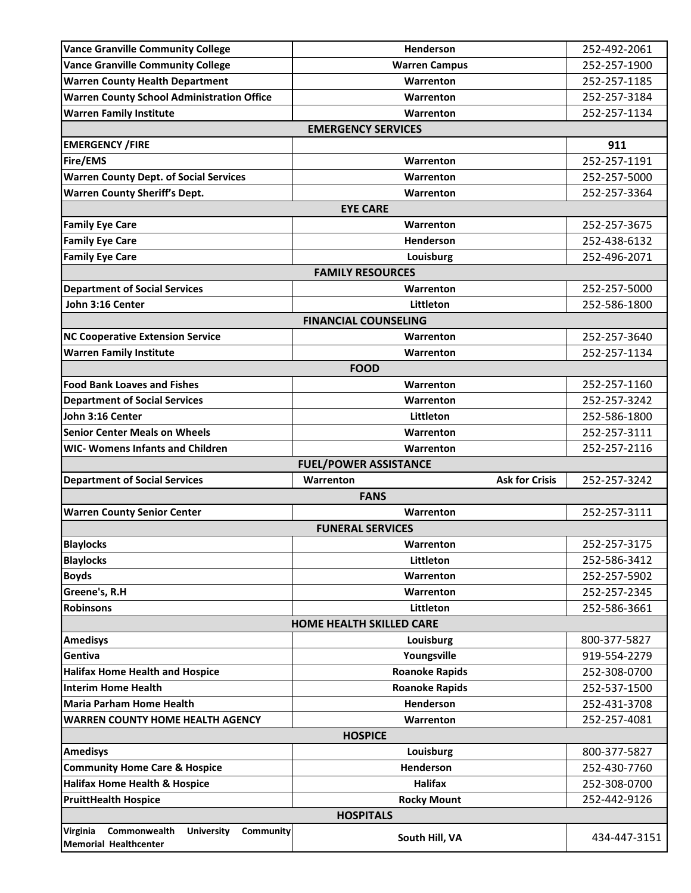| <b>Vance Granville Community College</b>          | <b>Henderson</b>                   | 252-492-2061 |
|---------------------------------------------------|------------------------------------|--------------|
| <b>Vance Granville Community College</b>          | <b>Warren Campus</b>               | 252-257-1900 |
| <b>Warren County Health Department</b>            | Warrenton                          | 252-257-1185 |
| <b>Warren County School Administration Office</b> | Warrenton                          | 252-257-3184 |
| <b>Warren Family Institute</b>                    | Warrenton                          | 252-257-1134 |
|                                                   | <b>EMERGENCY SERVICES</b>          |              |
| <b>EMERGENCY / FIRE</b>                           |                                    | 911          |
| Fire/EMS                                          | Warrenton                          | 252-257-1191 |
| <b>Warren County Dept. of Social Services</b>     | Warrenton                          | 252-257-5000 |
| <b>Warren County Sheriff's Dept.</b>              | Warrenton                          | 252-257-3364 |
|                                                   | <b>EYE CARE</b>                    |              |
| <b>Family Eye Care</b>                            | Warrenton                          | 252-257-3675 |
| <b>Family Eye Care</b>                            | Henderson                          | 252-438-6132 |
| <b>Family Eye Care</b>                            | Louisburg                          | 252-496-2071 |
|                                                   | <b>FAMILY RESOURCES</b>            |              |
| <b>Department of Social Services</b>              | Warrenton                          | 252-257-5000 |
| John 3:16 Center                                  | Littleton                          | 252-586-1800 |
|                                                   | <b>FINANCIAL COUNSELING</b>        |              |
| <b>NC Cooperative Extension Service</b>           | Warrenton                          | 252-257-3640 |
| <b>Warren Family Institute</b>                    | Warrenton                          | 252-257-1134 |
|                                                   | <b>FOOD</b>                        |              |
| <b>Food Bank Loaves and Fishes</b>                | Warrenton                          | 252-257-1160 |
| <b>Department of Social Services</b>              | Warrenton                          | 252-257-3242 |
| John 3:16 Center                                  | Littleton                          | 252-586-1800 |
| <b>Senior Center Meals on Wheels</b>              | Warrenton                          | 252-257-3111 |
|                                                   |                                    |              |
| <b>WIC- Womens Infants and Children</b>           | Warrenton                          | 252-257-2116 |
|                                                   | <b>FUEL/POWER ASSISTANCE</b>       |              |
| <b>Department of Social Services</b>              | <b>Ask for Crisis</b><br>Warrenton | 252-257-3242 |
|                                                   | <b>FANS</b>                        |              |
| <b>Warren County Senior Center</b>                | Warrenton                          | 252-257-3111 |
|                                                   | <b>FUNERAL SERVICES</b>            |              |
| <b>Blaylocks</b>                                  | Warrenton                          | 252-257-3175 |
| <b>Blaylocks</b>                                  | Littleton                          | 252-586-3412 |
| <b>Boyds</b>                                      | Warrenton                          | 252-257-5902 |
| Greene's, R.H                                     | Warrenton                          | 252-257-2345 |
| <b>Robinsons</b>                                  | Littleton                          | 252-586-3661 |
|                                                   | <b>HOME HEALTH SKILLED CARE</b>    |              |
| <b>Amedisys</b>                                   | Louisburg                          | 800-377-5827 |
| Gentiva                                           | Youngsville                        | 919-554-2279 |
| <b>Halifax Home Health and Hospice</b>            | <b>Roanoke Rapids</b>              | 252-308-0700 |
| <b>Interim Home Health</b>                        | <b>Roanoke Rapids</b>              | 252-537-1500 |
| <b>Maria Parham Home Health</b>                   | Henderson                          | 252-431-3708 |
| <b>WARREN COUNTY HOME HEALTH AGENCY</b>           | Warrenton                          | 252-257-4081 |
|                                                   | <b>HOSPICE</b>                     |              |
| <b>Amedisys</b>                                   | Louisburg                          | 800-377-5827 |
| <b>Community Home Care &amp; Hospice</b>          | Henderson                          | 252-430-7760 |
| <b>Halifax Home Health &amp; Hospice</b>          | <b>Halifax</b>                     | 252-308-0700 |
| <b>PruittHealth Hospice</b>                       | <b>Rocky Mount</b>                 | 252-442-9126 |
|                                                   | <b>HOSPITALS</b>                   |              |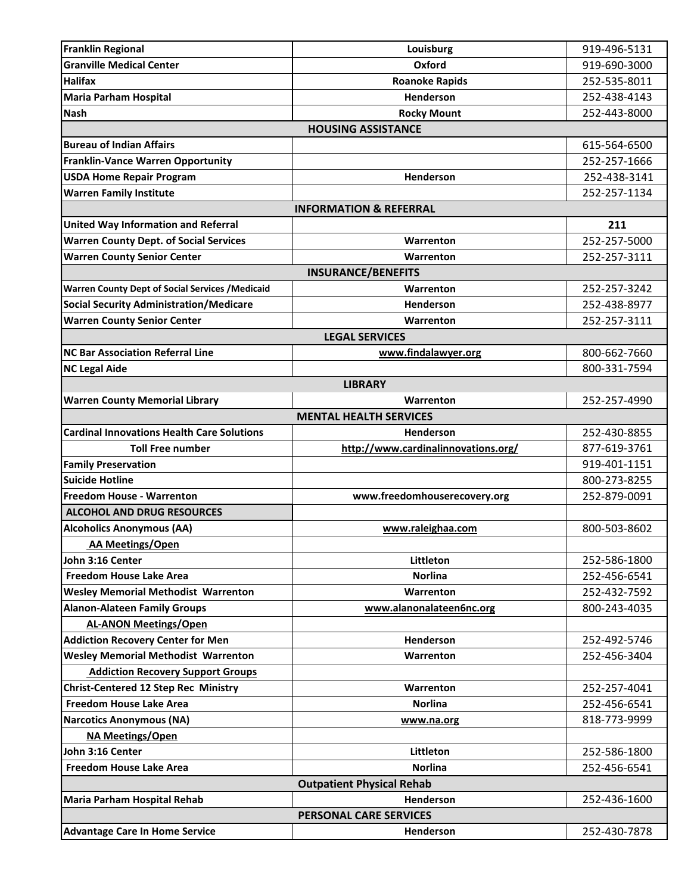| <b>Franklin Regional</b>                                | Louisburg                           | 919-496-5131 |  |  |
|---------------------------------------------------------|-------------------------------------|--------------|--|--|
| <b>Granville Medical Center</b>                         | Oxford                              | 919-690-3000 |  |  |
| <b>Halifax</b>                                          | <b>Roanoke Rapids</b>               | 252-535-8011 |  |  |
| <b>Maria Parham Hospital</b>                            | Henderson                           | 252-438-4143 |  |  |
| <b>Nash</b>                                             | <b>Rocky Mount</b>                  | 252-443-8000 |  |  |
|                                                         | <b>HOUSING ASSISTANCE</b>           |              |  |  |
| <b>Bureau of Indian Affairs</b>                         |                                     | 615-564-6500 |  |  |
| <b>Franklin-Vance Warren Opportunity</b>                |                                     | 252-257-1666 |  |  |
| <b>USDA Home Repair Program</b>                         | Henderson                           | 252-438-3141 |  |  |
| <b>Warren Family Institute</b>                          |                                     | 252-257-1134 |  |  |
|                                                         | <b>INFORMATION &amp; REFERRAL</b>   |              |  |  |
| <b>United Way Information and Referral</b>              |                                     | 211          |  |  |
| <b>Warren County Dept. of Social Services</b>           | Warrenton                           | 252-257-5000 |  |  |
| <b>Warren County Senior Center</b>                      | Warrenton                           | 252-257-3111 |  |  |
|                                                         | <b>INSURANCE/BENEFITS</b>           |              |  |  |
| <b>Warren County Dept of Social Services / Medicaid</b> | Warrenton                           | 252-257-3242 |  |  |
| <b>Social Security Administration/Medicare</b>          | <b>Henderson</b>                    | 252-438-8977 |  |  |
| <b>Warren County Senior Center</b>                      | Warrenton                           | 252-257-3111 |  |  |
|                                                         | <b>LEGAL SERVICES</b>               |              |  |  |
| <b>NC Bar Association Referral Line</b>                 | www.findalawyer.org                 | 800-662-7660 |  |  |
| <b>NC Legal Aide</b>                                    |                                     | 800-331-7594 |  |  |
|                                                         | <b>LIBRARY</b>                      |              |  |  |
| <b>Warren County Memorial Library</b>                   | Warrenton                           | 252-257-4990 |  |  |
|                                                         | <b>MENTAL HEALTH SERVICES</b>       |              |  |  |
| <b>Cardinal Innovations Health Care Solutions</b>       | <b>Henderson</b>                    | 252-430-8855 |  |  |
| <b>Toll Free number</b>                                 | http://www.cardinalinnovations.org/ | 877-619-3761 |  |  |
| <b>Family Preservation</b>                              |                                     | 919-401-1151 |  |  |
| <b>Suicide Hotline</b>                                  |                                     | 800-273-8255 |  |  |
| <b>Freedom House - Warrenton</b>                        | www.freedomhouserecovery.org        | 252-879-0091 |  |  |
| <b>ALCOHOL AND DRUG RESOURCES</b>                       |                                     |              |  |  |
| <b>Alcoholics Anonymous (AA)</b>                        | www.raleighaa.com                   | 800-503-8602 |  |  |
| <b>AA Meetings/Open</b>                                 |                                     |              |  |  |
| John 3:16 Center                                        | Littleton                           | 252-586-1800 |  |  |
| <b>Freedom House Lake Area</b>                          | <b>Norlina</b>                      | 252-456-6541 |  |  |
| <b>Wesley Memorial Methodist Warrenton</b>              | Warrenton                           | 252-432-7592 |  |  |
| <b>Alanon-Alateen Family Groups</b>                     | www.alanonalateen6nc.org            | 800-243-4035 |  |  |
| <b>AL-ANON Meetings/Open</b>                            |                                     |              |  |  |
| <b>Addiction Recovery Center for Men</b>                | Henderson                           | 252-492-5746 |  |  |
| <b>Wesley Memorial Methodist Warrenton</b>              | Warrenton                           | 252-456-3404 |  |  |
| <b>Addiction Recovery Support Groups</b>                |                                     |              |  |  |
| <b>Christ-Centered 12 Step Rec Ministry</b>             | Warrenton                           | 252-257-4041 |  |  |
| <b>Freedom House Lake Area</b>                          | <b>Norlina</b>                      | 252-456-6541 |  |  |
| <b>Narcotics Anonymous (NA)</b>                         | www.na.org                          | 818-773-9999 |  |  |
| <b>NA Meetings/Open</b>                                 |                                     |              |  |  |
| John 3:16 Center                                        | Littleton                           | 252-586-1800 |  |  |
| <b>Freedom House Lake Area</b>                          | <b>Norlina</b>                      | 252-456-6541 |  |  |
| <b>Outpatient Physical Rehab</b>                        |                                     |              |  |  |
| Maria Parham Hospital Rehab                             | Henderson                           | 252-436-1600 |  |  |
| <b>PERSONAL CARE SERVICES</b>                           |                                     |              |  |  |
| <b>Advantage Care In Home Service</b>                   | Henderson                           | 252-430-7878 |  |  |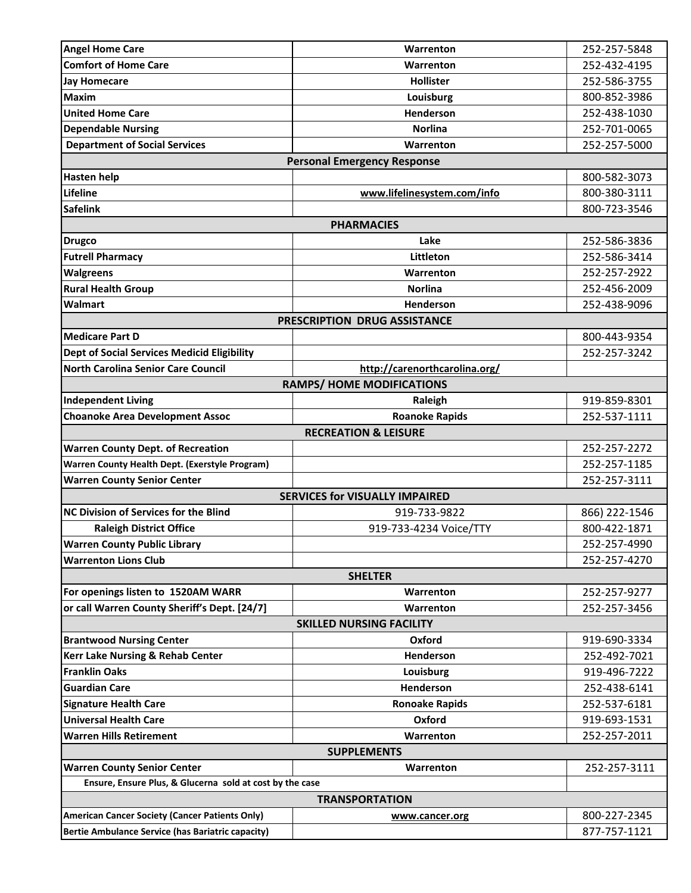| <b>Angel Home Care</b>                                   | Warrenton                             | 252-257-5848  |  |  |
|----------------------------------------------------------|---------------------------------------|---------------|--|--|
| <b>Comfort of Home Care</b>                              | Warrenton                             | 252-432-4195  |  |  |
| <b>Jay Homecare</b>                                      | <b>Hollister</b>                      | 252-586-3755  |  |  |
| <b>Maxim</b>                                             | Louisburg                             | 800-852-3986  |  |  |
| <b>United Home Care</b>                                  | Henderson                             | 252-438-1030  |  |  |
| <b>Dependable Nursing</b>                                | <b>Norlina</b>                        | 252-701-0065  |  |  |
| <b>Department of Social Services</b>                     | Warrenton                             | 252-257-5000  |  |  |
|                                                          | <b>Personal Emergency Response</b>    |               |  |  |
| <b>Hasten help</b>                                       |                                       | 800-582-3073  |  |  |
| Lifeline                                                 | www.lifelinesystem.com/info           | 800-380-3111  |  |  |
| <b>Safelink</b>                                          |                                       | 800-723-3546  |  |  |
|                                                          | <b>PHARMACIES</b>                     |               |  |  |
| <b>Drugco</b>                                            | Lake                                  | 252-586-3836  |  |  |
| <b>Futrell Pharmacy</b>                                  | Littleton                             | 252-586-3414  |  |  |
| <b>Walgreens</b>                                         | Warrenton                             | 252-257-2922  |  |  |
| <b>Rural Health Group</b>                                | <b>Norlina</b>                        | 252-456-2009  |  |  |
| <b>Walmart</b>                                           | Henderson                             | 252-438-9096  |  |  |
|                                                          | <b>PRESCRIPTION DRUG ASSISTANCE</b>   |               |  |  |
| <b>Medicare Part D</b>                                   |                                       | 800-443-9354  |  |  |
| <b>Dept of Social Services Medicid Eligibility</b>       |                                       | 252-257-3242  |  |  |
| <b>North Carolina Senior Care Council</b>                | http://carenorthcarolina.org/         |               |  |  |
|                                                          | <b>RAMPS/ HOME MODIFICATIONS</b>      |               |  |  |
| <b>Independent Living</b>                                | Raleigh                               | 919-859-8301  |  |  |
| <b>Choanoke Area Development Assoc</b>                   | <b>Roanoke Rapids</b>                 | 252-537-1111  |  |  |
|                                                          | <b>RECREATION &amp; LEISURE</b>       |               |  |  |
| <b>Warren County Dept. of Recreation</b>                 |                                       | 252-257-2272  |  |  |
| Warren County Health Dept. (Exerstyle Program)           |                                       | 252-257-1185  |  |  |
| <b>Warren County Senior Center</b>                       |                                       | 252-257-3111  |  |  |
|                                                          | <b>SERVICES for VISUALLY IMPAIRED</b> |               |  |  |
| <b>NC Division of Services for the Blind</b>             | 919-733-9822                          | 866) 222-1546 |  |  |
| <b>Raleigh District Office</b>                           | 919-733-4234 Voice/TTY                | 800-422-1871  |  |  |
| <b>Warren County Public Library</b>                      |                                       | 252-257-4990  |  |  |
| <b>Warrenton Lions Club</b>                              |                                       | 252-257-4270  |  |  |
|                                                          | <b>SHELTER</b>                        |               |  |  |
| For openings listen to 1520AM WARR                       | Warrenton                             | 252-257-9277  |  |  |
| or call Warren County Sheriff's Dept. [24/7]             | Warrenton                             | 252-257-3456  |  |  |
| <b>SKILLED NURSING FACILITY</b>                          |                                       |               |  |  |
| <b>Brantwood Nursing Center</b>                          | Oxford                                | 919-690-3334  |  |  |
| <b>Kerr Lake Nursing &amp; Rehab Center</b>              | Henderson                             | 252-492-7021  |  |  |
| <b>Franklin Oaks</b>                                     | Louisburg                             | 919-496-7222  |  |  |
| <b>Guardian Care</b>                                     | Henderson                             | 252-438-6141  |  |  |
| <b>Signature Health Care</b>                             | <b>Ronoake Rapids</b>                 | 252-537-6181  |  |  |
| <b>Universal Health Care</b>                             | Oxford                                | 919-693-1531  |  |  |
| <b>Warren Hills Retirement</b>                           | Warrenton                             | 252-257-2011  |  |  |
| <b>SUPPLEMENTS</b>                                       |                                       |               |  |  |
| <b>Warren County Senior Center</b>                       | Warrenton                             | 252-257-3111  |  |  |
| Ensure, Ensure Plus, & Glucerna sold at cost by the case |                                       |               |  |  |
| <b>TRANSPORTATION</b>                                    |                                       |               |  |  |
| <b>American Cancer Society (Cancer Patients Only)</b>    | www.cancer.org                        | 800-227-2345  |  |  |
| Bertie Ambulance Service (has Bariatric capacity)        |                                       | 877-757-1121  |  |  |